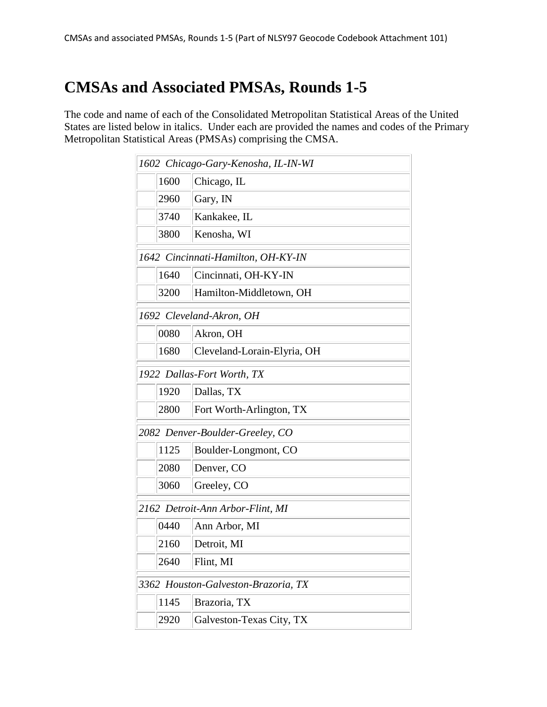## **CMSAs and Associated PMSAs, Rounds 1-5**

The code and name of each of the Consolidated Metropolitan Statistical Areas of the United States are listed below in italics. Under each are provided the names and codes of the Primary Metropolitan Statistical Areas (PMSAs) comprising the CMSA.

| 1602 Chicago-Gary-Kenosha, IL-IN-WI |      |                             |  |  |
|-------------------------------------|------|-----------------------------|--|--|
|                                     | 1600 | Chicago, IL                 |  |  |
|                                     | 2960 | Gary, IN                    |  |  |
|                                     | 3740 | Kankakee, IL                |  |  |
|                                     | 3800 | Kenosha, WI                 |  |  |
| 1642 Cincinnati-Hamilton, OH-KY-IN  |      |                             |  |  |
|                                     | 1640 | Cincinnati, OH-KY-IN        |  |  |
|                                     | 3200 | Hamilton-Middletown, OH     |  |  |
| 1692 Cleveland-Akron, OH            |      |                             |  |  |
|                                     | 0080 | Akron, OH                   |  |  |
|                                     | 1680 | Cleveland-Lorain-Elyria, OH |  |  |
| 1922 Dallas-Fort Worth, TX          |      |                             |  |  |
|                                     | 1920 | Dallas, TX                  |  |  |
|                                     | 2800 | Fort Worth-Arlington, TX    |  |  |
| 2082 Denver-Boulder-Greeley, CO     |      |                             |  |  |
|                                     | 1125 | Boulder-Longmont, CO        |  |  |
|                                     | 2080 | Denver, CO                  |  |  |
|                                     | 3060 | Greeley, CO                 |  |  |
| 2162 Detroit-Ann Arbor-Flint, MI    |      |                             |  |  |
|                                     | 0440 | Ann Arbor, MI               |  |  |
|                                     | 2160 | Detroit, MI                 |  |  |
|                                     | 2640 | Flint, MI                   |  |  |
| 3362 Houston-Galveston-Brazoria, TX |      |                             |  |  |
|                                     | 1145 | Brazoria, TX                |  |  |
|                                     | 2920 | Galveston-Texas City, TX    |  |  |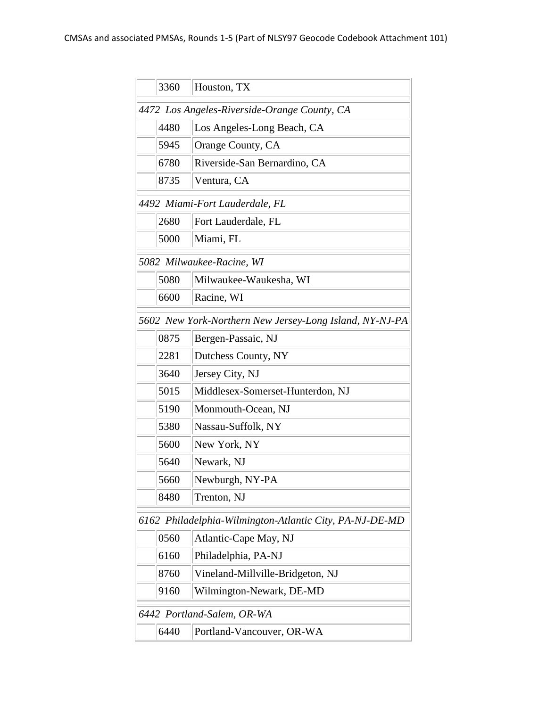|                                                         | 3360                                         | Houston, TX                                             |  |  |  |
|---------------------------------------------------------|----------------------------------------------|---------------------------------------------------------|--|--|--|
|                                                         | 4472 Los Angeles-Riverside-Orange County, CA |                                                         |  |  |  |
|                                                         | 4480                                         | Los Angeles-Long Beach, CA                              |  |  |  |
|                                                         | 5945                                         | Orange County, CA                                       |  |  |  |
|                                                         | 6780                                         | Riverside-San Bernardino, CA                            |  |  |  |
|                                                         | 8735                                         | Ventura, CA                                             |  |  |  |
| 4492 Miami-Fort Lauderdale, FL                          |                                              |                                                         |  |  |  |
|                                                         | 2680                                         | Fort Lauderdale, FL                                     |  |  |  |
|                                                         | 5000                                         | Miami, FL                                               |  |  |  |
| 5082 Milwaukee-Racine, WI                               |                                              |                                                         |  |  |  |
|                                                         | 5080                                         | Milwaukee-Waukesha, WI                                  |  |  |  |
|                                                         | 6600                                         | Racine, WI                                              |  |  |  |
| 5602 New York-Northern New Jersey-Long Island, NY-NJ-PA |                                              |                                                         |  |  |  |
|                                                         | 0875                                         | Bergen-Passaic, NJ                                      |  |  |  |
|                                                         | 2281                                         | Dutchess County, NY                                     |  |  |  |
|                                                         | 3640                                         | Jersey City, NJ                                         |  |  |  |
|                                                         | 5015                                         | Middlesex-Somerset-Hunterdon, NJ                        |  |  |  |
|                                                         | 5190                                         | Monmouth-Ocean, NJ                                      |  |  |  |
|                                                         | 5380                                         | Nassau-Suffolk, NY                                      |  |  |  |
|                                                         | 5600                                         | New York, NY                                            |  |  |  |
|                                                         | 5640                                         | Newark, NJ                                              |  |  |  |
|                                                         | 5660                                         | Newburgh, NY-PA                                         |  |  |  |
|                                                         | 8480                                         | Trenton, NJ                                             |  |  |  |
|                                                         |                                              | 6162 Philadelphia-Wilmington-Atlantic City, PA-NJ-DE-MD |  |  |  |
|                                                         | 0560                                         | Atlantic-Cape May, NJ                                   |  |  |  |
|                                                         | 6160                                         | Philadelphia, PA-NJ                                     |  |  |  |
|                                                         | 8760                                         | Vineland-Millville-Bridgeton, NJ                        |  |  |  |
|                                                         | 9160                                         | Wilmington-Newark, DE-MD                                |  |  |  |
| 6442 Portland-Salem, OR-WA                              |                                              |                                                         |  |  |  |
|                                                         | 6440                                         | Portland-Vancouver, OR-WA                               |  |  |  |